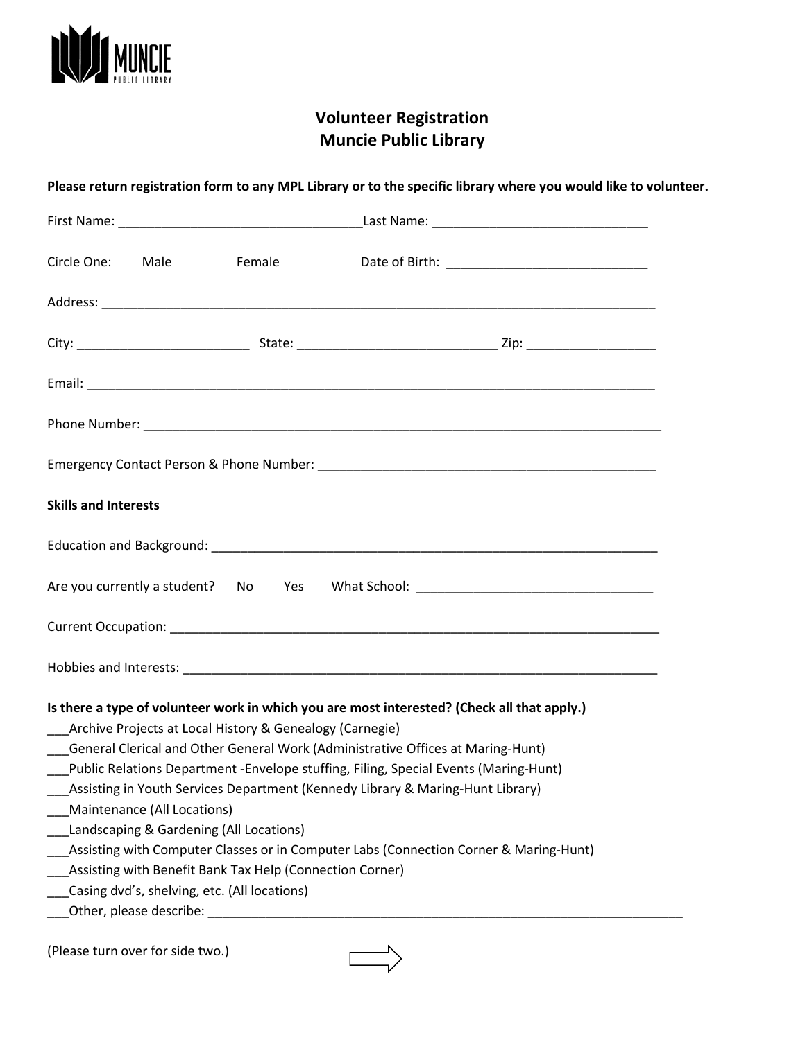

# **Volunteer Registration Muncie Public Library**

| Circle One:                 | Male                        | <b>Example 18</b>                                        |                                                                                             |
|-----------------------------|-----------------------------|----------------------------------------------------------|---------------------------------------------------------------------------------------------|
|                             |                             |                                                          |                                                                                             |
|                             |                             |                                                          |                                                                                             |
|                             |                             |                                                          |                                                                                             |
|                             |                             |                                                          |                                                                                             |
|                             |                             |                                                          |                                                                                             |
| <b>Skills and Interests</b> |                             |                                                          |                                                                                             |
|                             |                             |                                                          |                                                                                             |
|                             |                             |                                                          | Are you currently a student? No Yes What School: _______________________________            |
|                             |                             |                                                          |                                                                                             |
|                             |                             |                                                          |                                                                                             |
|                             |                             |                                                          | Is there a type of volunteer work in which you are most interested? (Check all that apply.) |
|                             |                             | Archive Projects at Local History & Genealogy (Carnegie) |                                                                                             |
|                             |                             |                                                          | General Clerical and Other General Work (Administrative Offices at Maring-Hunt)             |
|                             |                             |                                                          | Public Relations Department -Envelope stuffing, Filing, Special Events (Maring-Hunt)        |
|                             | Maintenance (All Locations) |                                                          | Assisting in Youth Services Department (Kennedy Library & Maring-Hunt Library)              |
|                             |                             | Landscaping & Gardening (All Locations)                  |                                                                                             |
|                             |                             |                                                          | Assisting with Computer Classes or in Computer Labs (Connection Corner & Maring-Hunt)       |
|                             |                             | Assisting with Benefit Bank Tax Help (Connection Corner) |                                                                                             |
|                             |                             | Casing dvd's, shelving, etc. (All locations)             |                                                                                             |
|                             |                             |                                                          |                                                                                             |

(Please turn over for side two.)